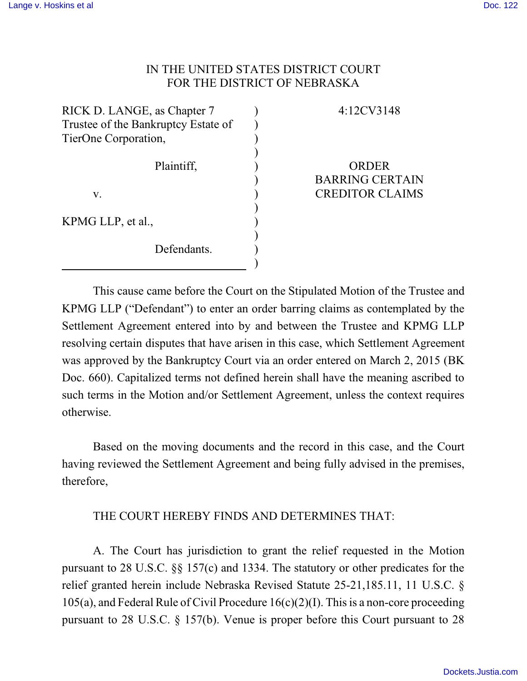## IN THE UNITED STATES DISTRICT COURT FOR THE DISTRICT OF NEBRASKA

| RICK D. LANGE, as Chapter 7<br>Trustee of the Bankruptcy Estate of<br>TierOne Corporation, |  |
|--------------------------------------------------------------------------------------------|--|
| Plaintiff,                                                                                 |  |
| V.                                                                                         |  |
| KPMG LLP, et al.,                                                                          |  |
| Defendants.                                                                                |  |

## 4:12CV3148

ORDER BARRING CERTAIN CREDITOR CLAIMS

This cause came before the Court on the Stipulated Motion of the Trustee and KPMG LLP ("Defendant") to enter an order barring claims as contemplated by the Settlement Agreement entered into by and between the Trustee and KPMG LLP resolving certain disputes that have arisen in this case, which Settlement Agreement was approved by the Bankruptcy Court via an order entered on March 2, 2015 (BK Doc. 660). Capitalized terms not defined herein shall have the meaning ascribed to such terms in the Motion and/or Settlement Agreement, unless the context requires otherwise.

Based on the moving documents and the record in this case, and the Court having reviewed the Settlement Agreement and being fully advised in the premises, therefore,

## THE COURT HEREBY FINDS AND DETERMINES THAT:

A. The Court has jurisdiction to grant the relief requested in the Motion pursuant to 28 U.S.C. §§ 157(c) and 1334. The statutory or other predicates for the relief granted herein include Nebraska Revised Statute 25-21,185.11, 11 U.S.C. § 105(a), and Federal Rule of Civil Procedure 16(c)(2)(I). This is a non-core proceeding pursuant to 28 U.S.C. § 157(b). Venue is proper before this Court pursuant to 28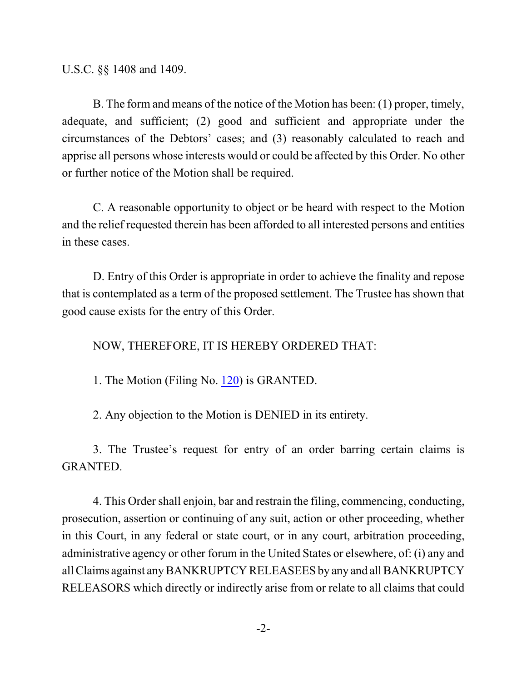U.S.C. §§ 1408 and 1409.

B. The form and means of the notice of the Motion has been: (1) proper, timely, adequate, and sufficient; (2) good and sufficient and appropriate under the circumstances of the Debtors' cases; and (3) reasonably calculated to reach and apprise all persons whose interests would or could be affected by this Order. No other or further notice of the Motion shall be required.

C. A reasonable opportunity to object or be heard with respect to the Motion and the relief requested therein has been afforded to all interested persons and entities in these cases.

D. Entry of this Order is appropriate in order to achieve the finality and repose that is contemplated as a term of the proposed settlement. The Trustee has shown that good cause exists for the entry of this Order.

NOW, THEREFORE, IT IS HEREBY ORDERED THAT:

1. The Motion (Filing No. [120](https://ecf.ned.uscourts.gov/doc1/11303224768)) is GRANTED.

2. Any objection to the Motion is DENIED in its entirety.

3. The Trustee's request for entry of an order barring certain claims is GRANTED.

4. This Order shall enjoin, bar and restrain the filing, commencing, conducting, prosecution, assertion or continuing of any suit, action or other proceeding, whether in this Court, in any federal or state court, or in any court, arbitration proceeding, administrative agency or other forum in the United States or elsewhere, of: (i) any and all Claims against any BANKRUPTCY RELEASEES by any and all BANKRUPTCY RELEASORS which directly or indirectly arise from or relate to all claims that could